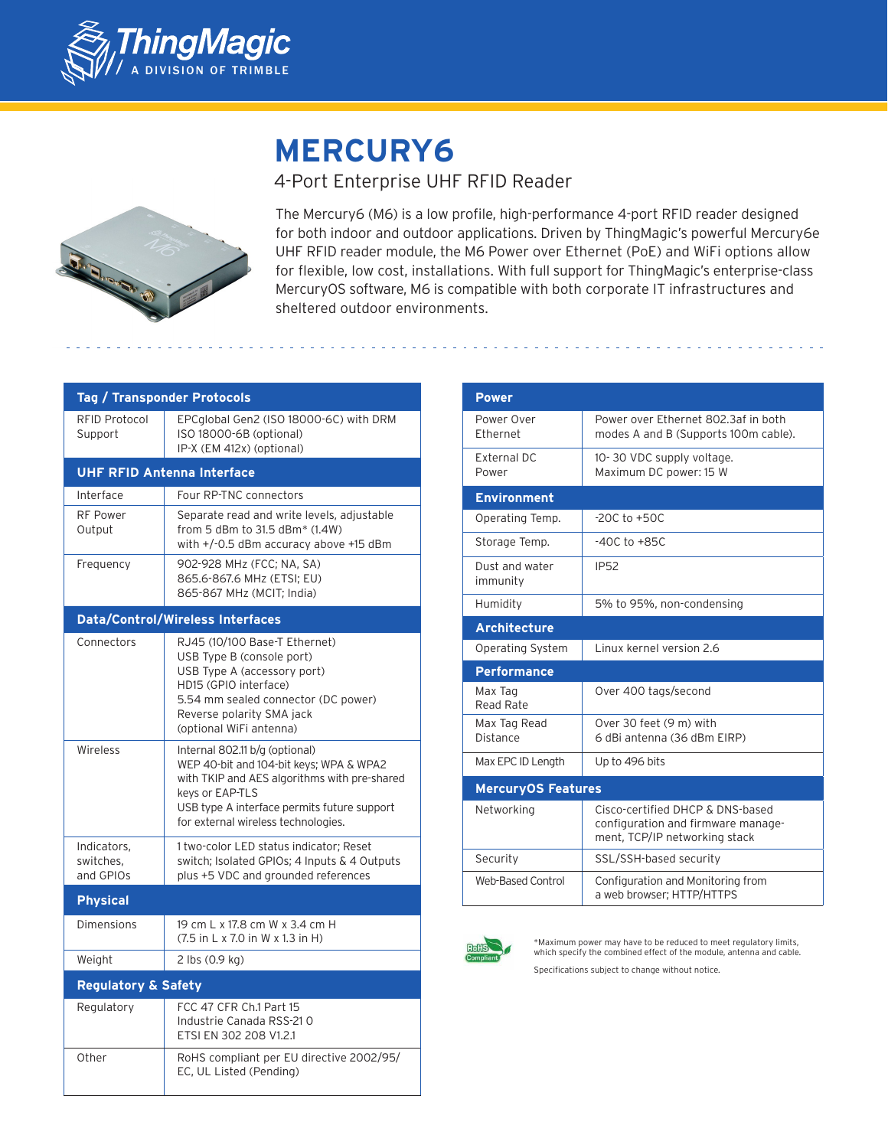

# **MERCURY6**

## 4-Port Enterprise UHF RFID Reader



The Mercury6 (M6) is a low profile, high-performance 4-port RFID reader designed for both indoor and outdoor applications. Driven by ThingMagic's powerful Mercury6e UHF RFID reader module, the M6 Power over Ethernet (PoE) and WiFi options allow for flexible, low cost, installations. With full support for ThingMagic's enterprise-class MercuryOS software, M6 is compatible with both corporate IT infrastructures and sheltered outdoor environments.

| <b>Tag / Transponder Protocols</b>      |                                                                                                                                                                                                                                    |  |
|-----------------------------------------|------------------------------------------------------------------------------------------------------------------------------------------------------------------------------------------------------------------------------------|--|
| <b>RFID Protocol</b><br>Support         | EPCglobal Gen2 (ISO 18000-6C) with DRM<br>ISO 18000-6B (optional)<br>IP-X (EM 412x) (optional)                                                                                                                                     |  |
| <b>UHF RFID Antenna Interface</b>       |                                                                                                                                                                                                                                    |  |
| Interface                               | Four RP-TNC connectors                                                                                                                                                                                                             |  |
| <b>RF Power</b><br>Output               | Separate read and write levels, adjustable<br>from 5 dBm to 31.5 dBm* (1.4W)<br>with +/-0.5 dBm accuracy above +15 dBm                                                                                                             |  |
| Frequency                               | 902-928 MHz (FCC; NA, SA)<br>865.6-867.6 MHz (ETSI; EU)<br>865-867 MHz (MCIT; India)                                                                                                                                               |  |
| <b>Data/Control/Wireless Interfaces</b> |                                                                                                                                                                                                                                    |  |
| Connectors                              | RJ45 (10/100 Base-T Ethernet)<br>USB Type B (console port)<br>USB Type A (accessory port)<br>HD15 (GPIO interface)<br>5.54 mm sealed connector (DC power)<br>Reverse polarity SMA jack<br>(optional WiFi antenna)                  |  |
| Wireless                                | Internal 802.11 b/g (optional)<br>WEP 40-bit and 104-bit keys; WPA & WPA2<br>with TKIP and AES algorithms with pre-shared<br>keys or EAP-TLS<br>USB type A interface permits future support<br>for external wireless technologies. |  |
| Indicators,<br>switches.<br>and GPIOs   | 1 two-color LED status indicator; Reset<br>switch; Isolated GPIOs; 4 Inputs & 4 Outputs<br>plus +5 VDC and grounded references                                                                                                     |  |
| <b>Physical</b>                         |                                                                                                                                                                                                                                    |  |
| <b>Dimensions</b>                       | 19 cm L x 17.8 cm W x 3.4 cm H<br>(7.5 in L x 7.0 in W x 1.3 in H)                                                                                                                                                                 |  |
| Weight                                  | 2 lbs (0.9 kg)                                                                                                                                                                                                                     |  |
| <b>Regulatory &amp; Safety</b>          |                                                                                                                                                                                                                                    |  |
| Regulatory                              | FCC 47 CFR Ch.1 Part 15<br>Industrie Canada RSS-210<br>ETSI EN 302 208 V1.2.1                                                                                                                                                      |  |
| Other                                   | RoHS compliant per EU directive 2002/95/<br>EC, UL Listed (Pending)                                                                                                                                                                |  |

| <b>Power</b>                |                                                                                                         |  |
|-----------------------------|---------------------------------------------------------------------------------------------------------|--|
| Power Over<br>Ethernet      | Power over Ethernet 802.3af in both<br>modes A and B (Supports 100m cable).                             |  |
| <b>External DC</b><br>Power | 10-30 VDC supply voltage.<br>Maximum DC power: 15 W                                                     |  |
| <b>Environment</b>          |                                                                                                         |  |
| Operating Temp.             | $-20C$ to $+50C$                                                                                        |  |
| Storage Temp.               | $-40C$ to $+85C$                                                                                        |  |
| Dust and water<br>immunity  | <b>IP52</b>                                                                                             |  |
| Humidity                    | 5% to 95%, non-condensing                                                                               |  |
| <b>Architecture</b>         |                                                                                                         |  |
| <b>Operating System</b>     | Linux kernel version 2.6                                                                                |  |
| <b>Performance</b>          |                                                                                                         |  |
| Max Tag<br>Read Rate        | Over 400 tags/second                                                                                    |  |
| Max Tag Read<br>Distance    | Over 30 feet (9 m) with<br>6 dBi antenna (36 dBm EIRP)                                                  |  |
| Max EPC ID Length           | Up to 496 bits                                                                                          |  |
| <b>MercuryOS Features</b>   |                                                                                                         |  |
| Networking                  | Cisco-certified DHCP & DNS-based<br>configuration and firmware manage-<br>ment, TCP/IP networking stack |  |
| Security                    | SSL/SSH-based security                                                                                  |  |
| <b>Web-Based Control</b>    | Configuration and Monitoring from<br>a web browser; HTTP/HTTPS                                          |  |



\*Maximum power may have to be reduced to meet regulatory limits, which specify the combined effect of the module, antenna and cable. Specifications subject to change without notice.